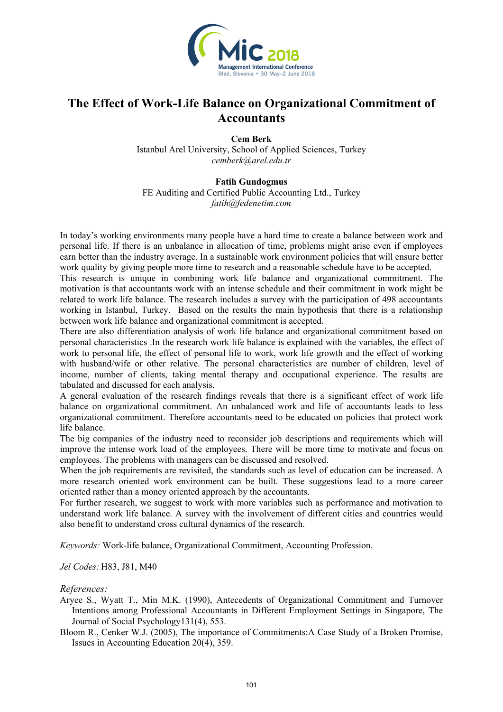

## **The Effect of Work-Life Balance on Organizational Commitment of Accountants**

**Cem Berk**  Istanbul Arel University, School of Applied Sciences, Turkey *cemberk@arel.edu.tr* 

## **Fatih Gundogmus**

FE Auditing and Certified Public Accounting Ltd., Turkey *fatih@fedenetim.com*

In today's working environments many people have a hard time to create a balance between work and personal life. If there is an unbalance in allocation of time, problems might arise even if employees earn better than the industry average. In a sustainable work environment policies that will ensure better work quality by giving people more time to research and a reasonable schedule have to be accepted.

This research is unique in combining work life balance and organizational commitment. The motivation is that accountants work with an intense schedule and their commitment in work might be related to work life balance. The research includes a survey with the participation of 498 accountants working in Istanbul, Turkey. Based on the results the main hypothesis that there is a relationship between work life balance and organizational commitment is accepted.

There are also differentiation analysis of work life balance and organizational commitment based on personal characteristics .In the research work life balance is explained with the variables, the effect of work to personal life, the effect of personal life to work, work life growth and the effect of working with husband/wife or other relative. The personal characteristics are number of children, level of income, number of clients, taking mental therapy and occupational experience. The results are tabulated and discussed for each analysis.

A general evaluation of the research findings reveals that there is a significant effect of work life balance on organizational commitment. An unbalanced work and life of accountants leads to less organizational commitment. Therefore accountants need to be educated on policies that protect work life balance.

The big companies of the industry need to reconsider job descriptions and requirements which will improve the intense work load of the employees. There will be more time to motivate and focus on employees. The problems with managers can be discussed and resolved.

When the job requirements are revisited, the standards such as level of education can be increased. A more research oriented work environment can be built. These suggestions lead to a more career oriented rather than a money oriented approach by the accountants.

For further research, we suggest to work with more variables such as performance and motivation to understand work life balance. A survey with the involvement of different cities and countries would also benefit to understand cross cultural dynamics of the research.

*Keywords:* Work-life balance, Organizational Commitment, Accounting Profession.

*Jel Codes:* H83, J81, M40

## *References:*

Aryee S., Wyatt T., Min M.K. (1990), Antecedents of Organizational Commitment and Turnover Intentions among Professional Accountants in Different Employment Settings in Singapore, The Journal of Social Psychology131(4), 553.

Bloom R., Cenker W.J. (2005), The importance of Commitments:A Case Study of a Broken Promise, Issues in Accounting Education 20(4), 359.